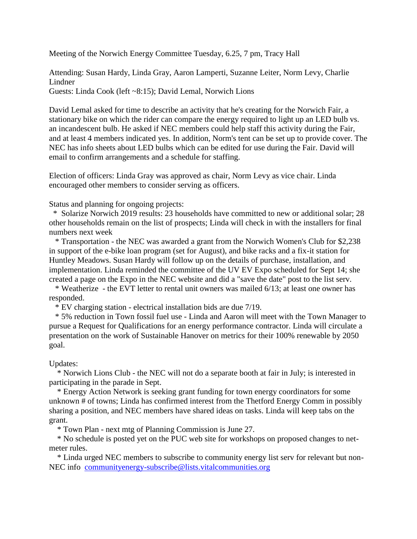Meeting of the Norwich Energy Committee Tuesday, 6.25, 7 pm, Tracy Hall

Attending: Susan Hardy, Linda Gray, Aaron Lamperti, Suzanne Leiter, Norm Levy, Charlie Lindner

Guests: Linda Cook (left ~8:15); David Lemal, Norwich Lions

David Lemal asked for time to describe an activity that he's creating for the Norwich Fair, a stationary bike on which the rider can compare the energy required to light up an LED bulb vs. an incandescent bulb. He asked if NEC members could help staff this activity during the Fair, and at least 4 members indicated yes. In addition, Norm's tent can be set up to provide cover. The NEC has info sheets about LED bulbs which can be edited for use during the Fair. David will email to confirm arrangements and a schedule for staffing.

Election of officers: Linda Gray was approved as chair, Norm Levy as vice chair. Linda encouraged other members to consider serving as officers.

Status and planning for ongoing projects:

\* Solarize Norwich 2019 results: 23 households have committed to new or additional solar; 28 other households remain on the list of prospects; Linda will check in with the installers for final numbers next week

\* Transportation - the NEC was awarded a grant from the Norwich Women's Club for \$2,238 in support of the e-bike loan program (set for August), and bike racks and a fix-it station for Huntley Meadows. Susan Hardy will follow up on the details of purchase, installation, and implementation. Linda reminded the committee of the UV EV Expo scheduled for Sept 14; she created a page on the Expo in the NEC website and did a "save the date" post to the list serv.

\* Weatherize - the EVT letter to rental unit owners was mailed 6/13; at least one owner has responded.

\* EV charging station - electrical installation bids are due 7/19.

\* 5% reduction in Town fossil fuel use - Linda and Aaron will meet with the Town Manager to pursue a Request for Qualifications for an energy performance contractor. Linda will circulate a presentation on the work of Sustainable Hanover on metrics for their 100% renewable by 2050 goal.

## Updates:

\* Norwich Lions Club - the NEC will not do a separate booth at fair in July; is interested in participating in the parade in Sept.

\* Energy Action Network is seeking grant funding for town energy coordinators for some unknown # of towns; Linda has confirmed interest from the Thetford Energy Comm in possibly sharing a position, and NEC members have shared ideas on tasks. Linda will keep tabs on the grant.

\* Town Plan - next mtg of Planning Commission is June 27.

\* No schedule is posted yet on the PUC web site for workshops on proposed changes to netmeter rules.

\* Linda urged NEC members to subscribe to community energy list serv for relevant but non-NEC info [communityenergy-subscribe@lists.vitalcommunities.org](mailto:communityenergy-subscribe@lists.vitalcommunities.org)